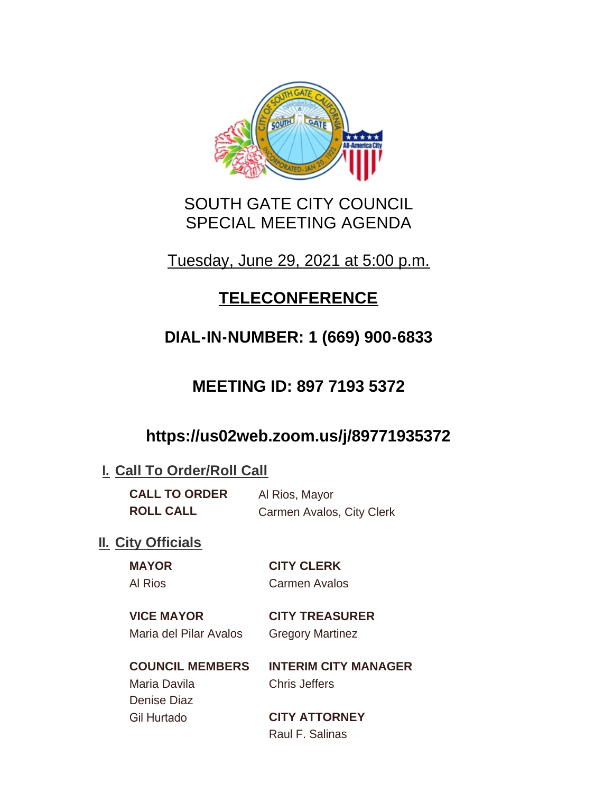

# SOUTH GATE CITY COUNCIL SPECIAL MEETING AGENDA

# Tuesday, June 29, 2021 at 5:00 p.m.

# **TELECONFERENCE**

# **DIAL-IN-NUMBER: 1 (669) 900-6833**

# **MEETING ID: 897 7193 5372**

# **https://us02web.zoom.us/j/89771935372**

### **I. Call To Order/Roll Call**

**CALL TO ORDER** Al Rios, Mayor **ROLL CALL** Carmen Avalos, City Clerk

### **II.** City Officials

# **MAYOR CITY CLERK**

Al Rios Carmen Avalos

**VICE MAYOR CITY TREASURER**

Maria del Pilar Avalos Gregory Martinez

#### **COUNCIL MEMBERS INTERIM CITY MANAGER** Maria Davila Chris Jeffers

Denise Diaz

Gil Hurtado **CITY ATTORNEY** Raul F. Salinas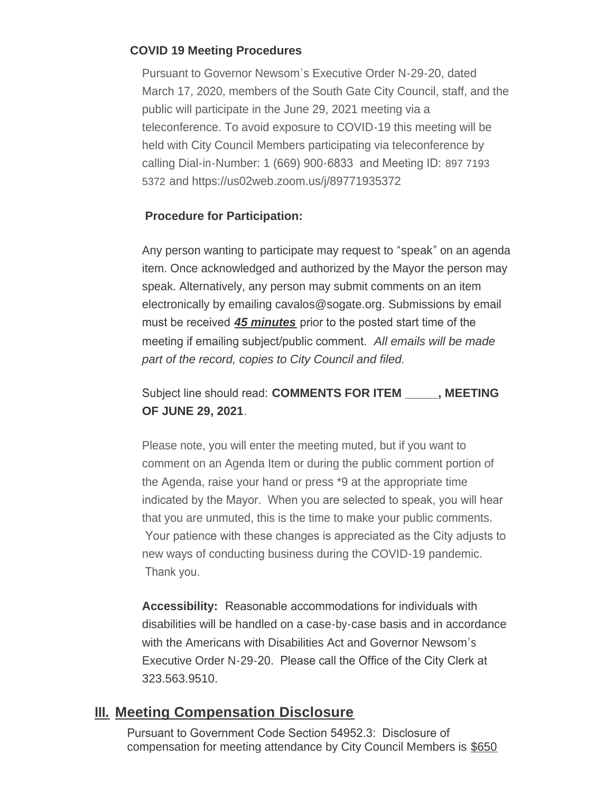#### **COVID 19 Meeting Procedures**

Pursuant to Governor Newsom's Executive Order N-29-20, dated March 17, 2020, members of the South Gate City Council, staff, and the public will participate in the June 29, 2021 meeting via a teleconference. To avoid exposure to COVID-19 this meeting will be held with City Council Members participating via teleconference by calling Dial-in-Number: 1 (669) 900-6833 and Meeting ID: 897 7193 5372 and https://us02web.zoom.us/j/89771935372

#### **Procedure for Participation:**

Any person wanting to participate may request to "speak" on an agenda item. Once acknowledged and authorized by the Mayor the person may speak. Alternatively, any person may submit comments on an item electronically by emailing cavalos@sogate.org. Submissions by email must be received *45 minutes* prior to the posted start time of the meeting if emailing subject/public comment. *All emails will be made part of the record, copies to City Council and filed.*

#### Subject line should read: **COMMENTS FOR ITEM \_\_\_\_\_, MEETING OF JUNE 29, 2021**.

Please note, you will enter the meeting muted, but if you want to comment on an Agenda Item or during the public comment portion of the Agenda, raise your hand or press \*9 at the appropriate time indicated by the Mayor. When you are selected to speak, you will hear that you are unmuted, this is the time to make your public comments. Your patience with these changes is appreciated as the City adjusts to new ways of conducting business during the COVID-19 pandemic. Thank you.

**Accessibility:** Reasonable accommodations for individuals with disabilities will be handled on a case-by-case basis and in accordance with the Americans with Disabilities Act and Governor Newsom's Executive Order N-29-20. Please call the Office of the City Clerk at 323.563.9510.

#### **Meeting Compensation Disclosure III.**

Pursuant to Government Code Section 54952.3: Disclosure of compensation for meeting attendance by City Council Members is \$650